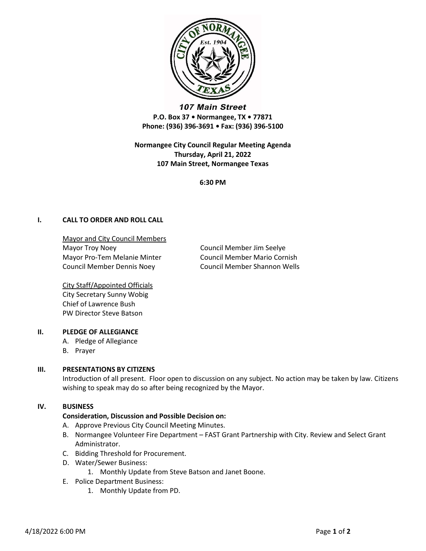

107 Main Street P.O. Box 37 • Normangee, TX • 77871 Phone: (936) 396-3691 • Fax: (936) 396-5100

Normangee City Council Regular Meeting Agenda Thursday, April 21, 2022 107 Main Street, Normangee Texas

6:30 PM

# I. CALL TO ORDER AND ROLL CALL

Mayor and City Council Members Mayor Troy Noey **Council Member Jim Seelye** Mayor Pro-Tem Melanie Minter Council Member Mario Cornish Council Member Dennis Noey Council Member Shannon Wells

City Staff/Appointed Officials City Secretary Sunny Wobig Chief of Lawrence Bush PW Director Steve Batson

#### II. PLEDGE OF ALLEGIANCE

- A. Pledge of Allegiance
- B. Prayer

# III. PRESENTATIONS BY CITIZENS

Introduction of all present. Floor open to discussion on any subject. No action may be taken by law. Citizens wishing to speak may do so after being recognized by the Mayor.

## IV. BUSINESS

#### Consideration, Discussion and Possible Decision on:

- A. Approve Previous City Council Meeting Minutes.
- B. Normangee Volunteer Fire Department FAST Grant Partnership with City. Review and Select Grant Administrator.
- C. Bidding Threshold for Procurement.
- D. Water/Sewer Business:
	- 1. Monthly Update from Steve Batson and Janet Boone.
- E. Police Department Business:
	- 1. Monthly Update from PD.